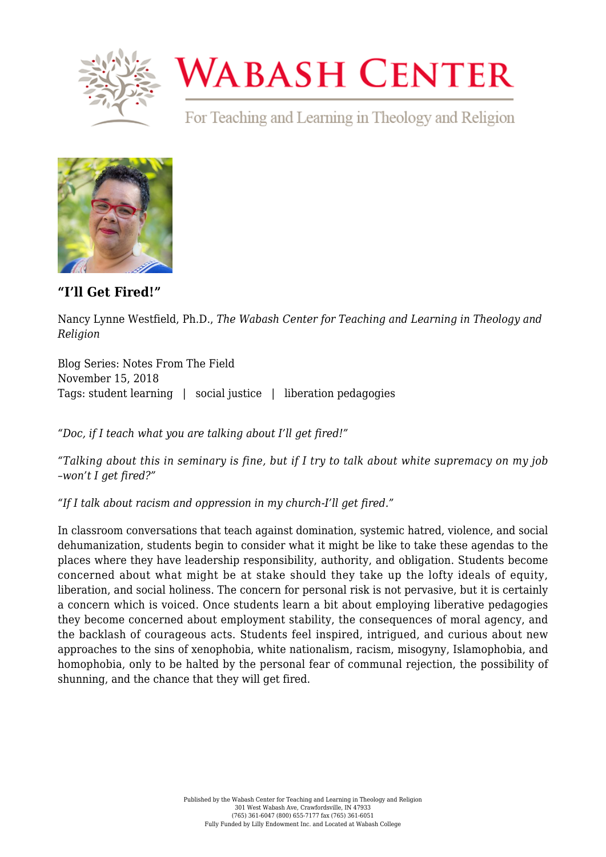

## **WABASH CENTER**

For Teaching and Learning in Theology and Religion



**["I'll Get Fired!"](https://www.wabashcenter.wabash.edu/2018/11/ill-get-fired/)**

Nancy Lynne Westfield, Ph.D., *The Wabash Center for Teaching and Learning in Theology and Religion*

Blog Series: Notes From The Field November 15, 2018 Tags: student learning | social justice | liberation pedagogies

*"Doc, if I teach what you are talking about I'll get fired!"*

*"Talking about this in seminary is fine, but if I try to talk about white supremacy on my job –won't I get fired?"*

*"If I talk about racism and oppression in my church-I'll get fired."*

In classroom conversations that teach against domination, systemic hatred, violence, and social dehumanization, students begin to consider what it might be like to take these agendas to the places where they have leadership responsibility, authority, and obligation. Students become concerned about what might be at stake should they take up the lofty ideals of equity, liberation, and social holiness. The concern for personal risk is not pervasive, but it is certainly a concern which is voiced. Once students learn a bit about employing liberative pedagogies they become concerned about employment stability, the consequences of moral agency, and the backlash of courageous acts. Students feel inspired, intrigued, and curious about new approaches to the sins of xenophobia, white nationalism, racism, misogyny, Islamophobia, and homophobia, only to be halted by the personal fear of communal rejection, the possibility of shunning, and the chance that they will get fired.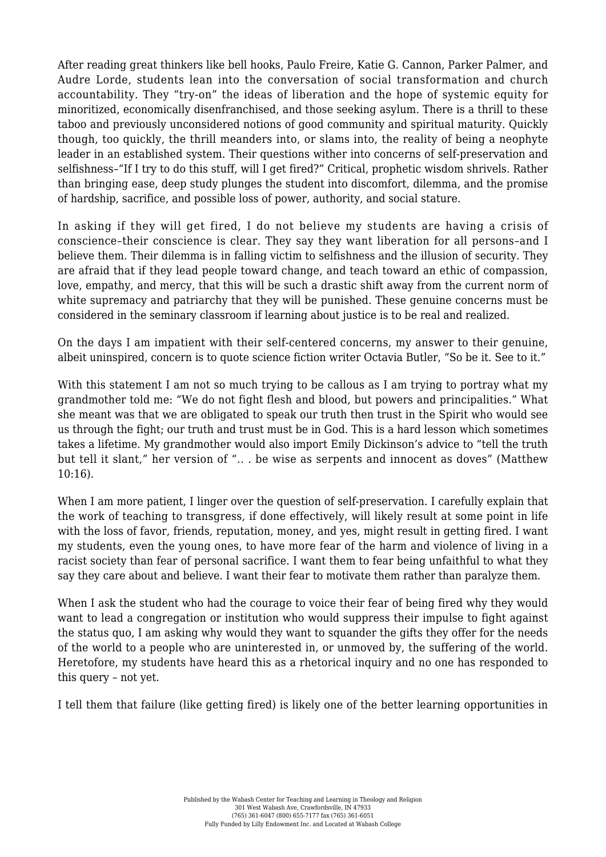After reading great thinkers like bell hooks, Paulo Freire, Katie G. Cannon, Parker Palmer, and Audre Lorde, students lean into the conversation of social transformation and church accountability. They "try-on" the ideas of liberation and the hope of systemic equity for minoritized, economically disenfranchised, and those seeking asylum. There is a thrill to these taboo and previously unconsidered notions of good community and spiritual maturity. Quickly though, too quickly, the thrill meanders into, or slams into, the reality of being a neophyte leader in an established system. Their questions wither into concerns of self-preservation and selfishness–"If I try to do this stuff, will I get fired?" Critical, prophetic wisdom shrivels. Rather than bringing ease, deep study plunges the student into discomfort, dilemma, and the promise of hardship, sacrifice, and possible loss of power, authority, and social stature.

In asking if they will get fired, I do not believe my students are having a crisis of conscience–their conscience is clear. They say they want liberation for all persons–and I believe them. Their dilemma is in falling victim to selfishness and the illusion of security. They are afraid that if they lead people toward change, and teach toward an ethic of compassion, love, empathy, and mercy, that this will be such a drastic shift away from the current norm of white supremacy and patriarchy that they will be punished. These genuine concerns must be considered in the seminary classroom if learning about justice is to be real and realized.

On the days I am impatient with their self-centered concerns, my answer to their genuine, albeit uninspired, concern is to quote science fiction writer Octavia Butler, "So be it. See to it."

With this statement I am not so much trying to be callous as I am trying to portray what my grandmother told me: "We do not fight flesh and blood, but powers and principalities." What she meant was that we are obligated to speak our truth then trust in the Spirit who would see us through the fight; our truth and trust must be in God. This is a hard lesson which sometimes takes a lifetime. My grandmother would also import Emily Dickinson's advice to "tell the truth but tell it slant," her version of "... be wise as serpents and innocent as doves" (Matthew 10:16).

When I am more patient, I linger over the question of self-preservation. I carefully explain that the work of teaching to transgress, if done effectively, will likely result at some point in life with the loss of favor, friends, reputation, money, and yes, might result in getting fired. I want my students, even the young ones, to have more fear of the harm and violence of living in a racist society than fear of personal sacrifice. I want them to fear being unfaithful to what they say they care about and believe. I want their fear to motivate them rather than paralyze them.

When I ask the student who had the courage to voice their fear of being fired why they would want to lead a congregation or institution who would suppress their impulse to fight against the status quo, I am asking why would they want to squander the gifts they offer for the needs of the world to a people who are uninterested in, or unmoved by, the suffering of the world. Heretofore, my students have heard this as a rhetorical inquiry and no one has responded to this query – not yet.

I tell them that failure (like getting fired) is likely one of the better learning opportunities in